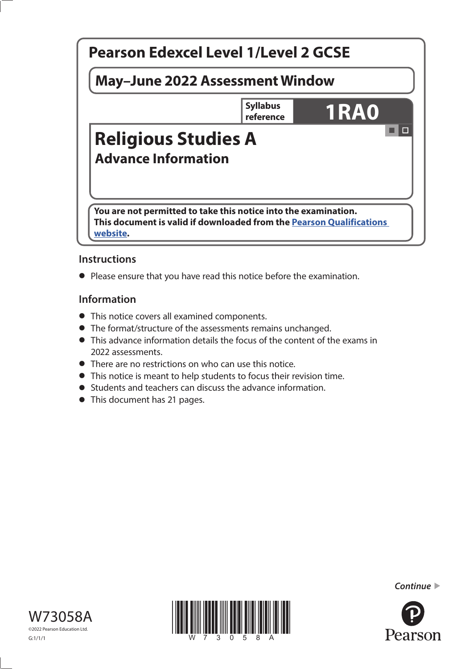

### **Instructions**

**•** Please ensure that you have read this notice before the examination.

#### **Information**

- This notice covers all examined components.
- The format/structure of the assessments remains unchanged.
- This advance information details the focus of the content of the exams in 2022 assessments.
- There are no restrictions on who can use this notice.
- This notice is meant to help students to focus their revision time.
- Students and teachers can discuss the advance information.
- This document has 21 pages.







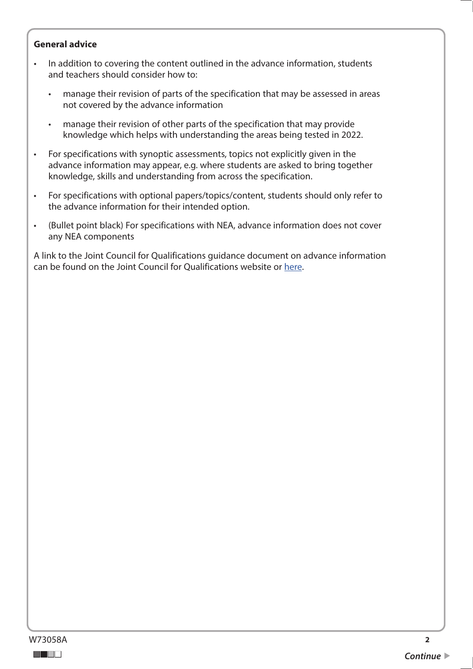#### **General advice**

- In addition to covering the content outlined in the advance information, students and teachers should consider how to:
	- manage their revision of parts of the specification that may be assessed in areas not covered by the advance information
	- manage their revision of other parts of the specification that may provide knowledge which helps with understanding the areas being tested in 2022.
- For specifications with synoptic assessments, topics not explicitly given in the advance information may appear, e.g. where students are asked to bring together knowledge, skills and understanding from across the specification.
- For specifications with optional papers/topics/content, students should only refer to the advance information for their intended option.
- (Bullet point black) For specifications with NEA, advance information does not cover any NEA components

A link to the Joint Council for Qualifications guidance document on advance information can be found on the Joint Council for Qualifications website or [here](https://www.jcq.org.uk/wp-content/uploads/2021/10/Advance-Information-for-General-Qualifications-2021-22.pdf).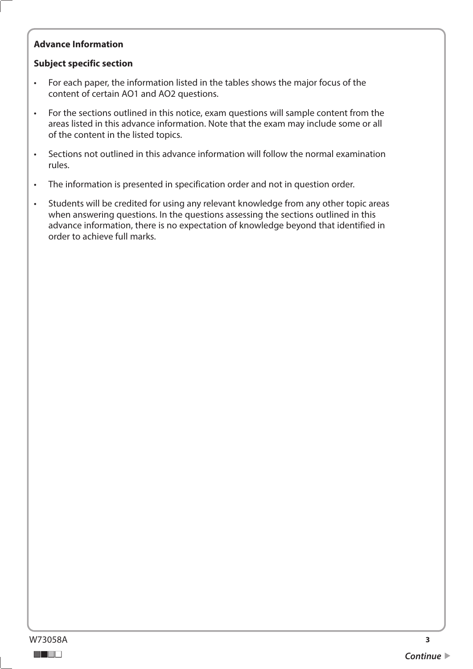#### **Advance Information**

#### **Subject specific section**

- For each paper, the information listed in the tables shows the major focus of the content of certain AO1 and AO2 questions.
- For the sections outlined in this notice, exam questions will sample content from the areas listed in this advance information. Note that the exam may include some or all of the content in the listed topics.
- Sections not outlined in this advance information will follow the normal examination rules.
- The information is presented in specification order and not in question order.
- Students will be credited for using any relevant knowledge from any other topic areas when answering questions. In the questions assessing the sections outlined in this advance information, there is no expectation of knowledge beyond that identified in order to achieve full marks.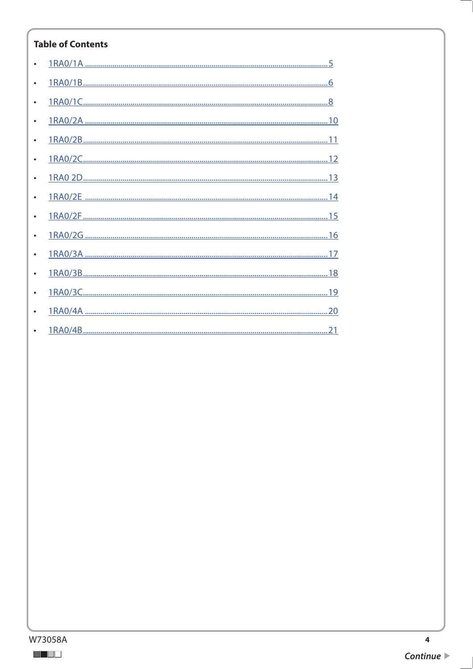### **Table of Contents**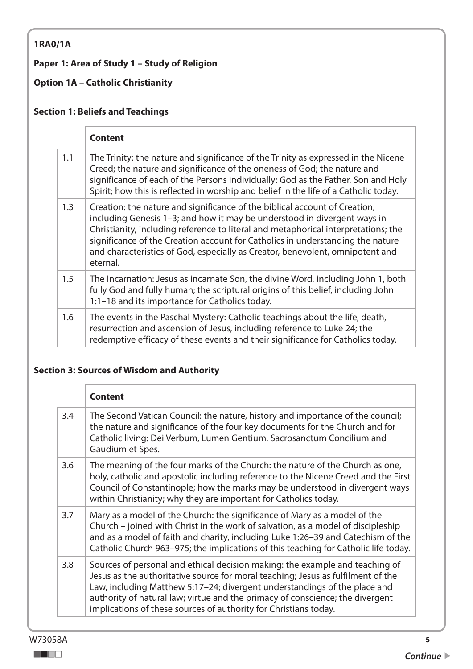## <span id="page-4-0"></span>**1RA0/1A**

## **Paper 1: Area of Study 1 – Study of Religion**

### **Option 1A – Catholic Christianity**

### **Section 1: Beliefs and Teachings**

|     | <b>Content</b>                                                                                                                                                                                                                                                                                                                                                                                                              |
|-----|-----------------------------------------------------------------------------------------------------------------------------------------------------------------------------------------------------------------------------------------------------------------------------------------------------------------------------------------------------------------------------------------------------------------------------|
| 1.1 | The Trinity: the nature and significance of the Trinity as expressed in the Nicene<br>Creed; the nature and significance of the oneness of God; the nature and<br>significance of each of the Persons individually: God as the Father, Son and Holy<br>Spirit; how this is reflected in worship and belief in the life of a Catholic today.                                                                                 |
| 1.3 | Creation: the nature and significance of the biblical account of Creation,<br>including Genesis 1-3; and how it may be understood in divergent ways in<br>Christianity, including reference to literal and metaphorical interpretations; the<br>significance of the Creation account for Catholics in understanding the nature<br>and characteristics of God, especially as Creator, benevolent, omnipotent and<br>eternal. |
| 1.5 | The Incarnation: Jesus as incarnate Son, the divine Word, including John 1, both<br>fully God and fully human; the scriptural origins of this belief, including John<br>1:1-18 and its importance for Catholics today.                                                                                                                                                                                                      |
| 1.6 | The events in the Paschal Mystery: Catholic teachings about the life, death,<br>resurrection and ascension of Jesus, including reference to Luke 24; the<br>redemptive efficacy of these events and their significance for Catholics today.                                                                                                                                                                                 |

#### **Section 3: Sources of Wisdom and Authority**

|     | <b>Content</b>                                                                                                                                                                                                                                                                                                                                                                                     |
|-----|----------------------------------------------------------------------------------------------------------------------------------------------------------------------------------------------------------------------------------------------------------------------------------------------------------------------------------------------------------------------------------------------------|
| 3.4 | The Second Vatican Council: the nature, history and importance of the council;<br>the nature and significance of the four key documents for the Church and for<br>Catholic living: Dei Verbum, Lumen Gentium, Sacrosanctum Concilium and<br>Gaudium et Spes.                                                                                                                                       |
| 3.6 | The meaning of the four marks of the Church: the nature of the Church as one,<br>holy, catholic and apostolic including reference to the Nicene Creed and the First<br>Council of Constantinople; how the marks may be understood in divergent ways<br>within Christianity; why they are important for Catholics today.                                                                            |
| 3.7 | Mary as a model of the Church: the significance of Mary as a model of the<br>Church - joined with Christ in the work of salvation, as a model of discipleship<br>and as a model of faith and charity, including Luke 1:26-39 and Catechism of the<br>Catholic Church 963-975; the implications of this teaching for Catholic life today.                                                           |
| 3.8 | Sources of personal and ethical decision making: the example and teaching of<br>Jesus as the authoritative source for moral teaching; Jesus as fulfilment of the<br>Law, including Matthew 5:17-24; divergent understandings of the place and<br>authority of natural law; virtue and the primacy of conscience; the divergent<br>implications of these sources of authority for Christians today. |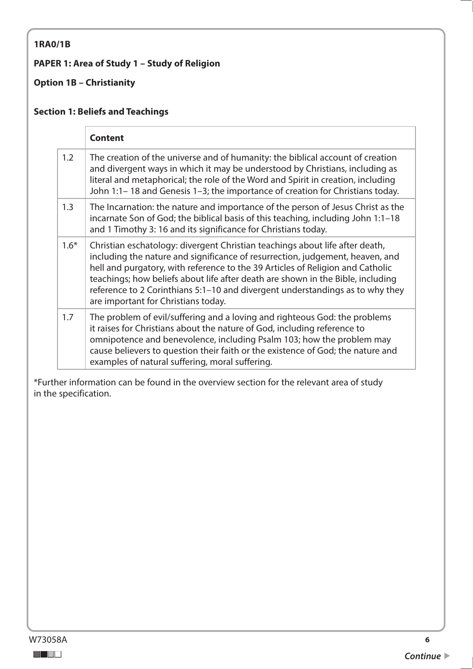#### <span id="page-5-0"></span>**1RA0/1B**

#### **PAPER 1: Area of Study 1 – Study of Religion**

### **Option 1B – Christianity**

### **Section 1: Beliefs and Teachings**

|        | <b>Content</b>                                                                                                                                                                                                                                                                                                                                                                                                                                             |
|--------|------------------------------------------------------------------------------------------------------------------------------------------------------------------------------------------------------------------------------------------------------------------------------------------------------------------------------------------------------------------------------------------------------------------------------------------------------------|
| 1.2    | The creation of the universe and of humanity: the biblical account of creation<br>and divergent ways in which it may be understood by Christians, including as<br>literal and metaphorical; the role of the Word and Spirit in creation, including<br>John 1:1-18 and Genesis 1-3; the importance of creation for Christians today.                                                                                                                        |
| 1.3    | The Incarnation: the nature and importance of the person of Jesus Christ as the<br>incarnate Son of God; the biblical basis of this teaching, including John 1:1-18<br>and 1 Timothy 3: 16 and its significance for Christians today.                                                                                                                                                                                                                      |
| $1.6*$ | Christian eschatology: divergent Christian teachings about life after death,<br>including the nature and significance of resurrection, judgement, heaven, and<br>hell and purgatory, with reference to the 39 Articles of Religion and Catholic<br>teachings; how beliefs about life after death are shown in the Bible, including<br>reference to 2 Corinthians 5:1-10 and divergent understandings as to why they<br>are important for Christians today. |
| 1.7    | The problem of evil/suffering and a loving and righteous God: the problems<br>it raises for Christians about the nature of God, including reference to<br>omnipotence and benevolence, including Psalm 103; how the problem may<br>cause believers to question their faith or the existence of God; the nature and<br>examples of natural suffering, moral suffering.                                                                                      |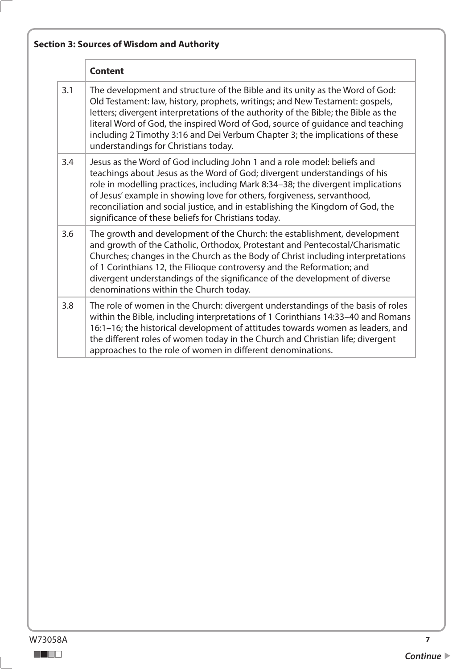|     | <b>Content</b>                                                                                                                                                                                                                                                                                                                                                                                                                                               |
|-----|--------------------------------------------------------------------------------------------------------------------------------------------------------------------------------------------------------------------------------------------------------------------------------------------------------------------------------------------------------------------------------------------------------------------------------------------------------------|
| 3.1 | The development and structure of the Bible and its unity as the Word of God:<br>Old Testament: law, history, prophets, writings; and New Testament: gospels,<br>letters; divergent interpretations of the authority of the Bible; the Bible as the<br>literal Word of God, the inspired Word of God, source of guidance and teaching<br>including 2 Timothy 3:16 and Dei Verbum Chapter 3; the implications of these<br>understandings for Christians today. |
| 3.4 | Jesus as the Word of God including John 1 and a role model: beliefs and<br>teachings about Jesus as the Word of God; divergent understandings of his<br>role in modelling practices, including Mark 8:34-38; the divergent implications<br>of Jesus' example in showing love for others, forgiveness, servanthood,<br>reconciliation and social justice, and in establishing the Kingdom of God, the<br>significance of these beliefs for Christians today.  |
| 3.6 | The growth and development of the Church: the establishment, development<br>and growth of the Catholic, Orthodox, Protestant and Pentecostal/Charismatic<br>Churches; changes in the Church as the Body of Christ including interpretations<br>of 1 Corinthians 12, the Filioque controversy and the Reformation; and<br>divergent understandings of the significance of the development of diverse<br>denominations within the Church today.                |
| 3.8 | The role of women in the Church: divergent understandings of the basis of roles<br>within the Bible, including interpretations of 1 Corinthians 14:33-40 and Romans<br>16:1-16; the historical development of attitudes towards women as leaders, and<br>the different roles of women today in the Church and Christian life; divergent<br>approaches to the role of women in different denominations.                                                       |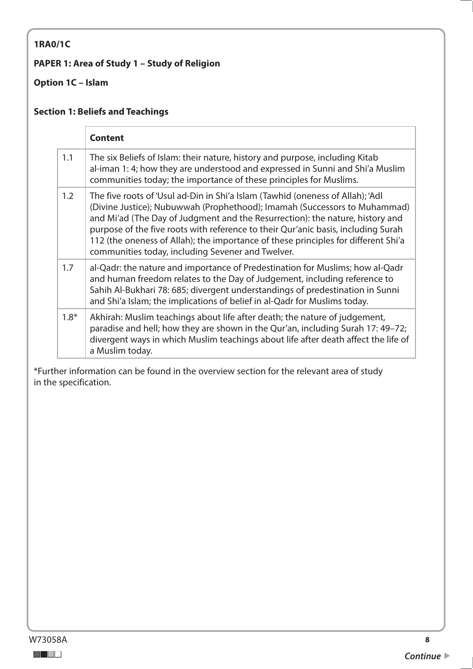### <span id="page-7-0"></span>**1RA0/1C**

### **PAPER 1: Area of Study 1 – Study of Religion**

### **Option 1C – Islam**

#### **Section 1: Beliefs and Teachings**

|        | <b>Content</b>                                                                                                                                                                                                                                                                                                                                                                                                                                                               |
|--------|------------------------------------------------------------------------------------------------------------------------------------------------------------------------------------------------------------------------------------------------------------------------------------------------------------------------------------------------------------------------------------------------------------------------------------------------------------------------------|
| 1.1    | The six Beliefs of Islam: their nature, history and purpose, including Kitab<br>al-iman 1: 4; how they are understood and expressed in Sunni and Shi'a Muslim<br>communities today; the importance of these principles for Muslims.                                                                                                                                                                                                                                          |
| 1.2    | The five roots of 'Usul ad-Din in Shi'a Islam (Tawhid (oneness of Allah); 'Adl<br>(Divine Justice); Nubuwwah (Prophethood); Imamah (Successors to Muhammad)<br>and Mi'ad (The Day of Judgment and the Resurrection): the nature, history and<br>purpose of the five roots with reference to their Qur'anic basis, including Surah<br>112 (the oneness of Allah); the importance of these principles for different Shi'a<br>communities today, including Sevener and Twelver. |
| 1.7    | al-Qadr: the nature and importance of Predestination for Muslims; how al-Qadr<br>and human freedom relates to the Day of Judgement, including reference to<br>Sahih Al-Bukhari 78: 685; divergent understandings of predestination in Sunni<br>and Shi'a Islam; the implications of belief in al-Qadr for Muslims today.                                                                                                                                                     |
| $1.8*$ | Akhirah: Muslim teachings about life after death; the nature of judgement,<br>paradise and hell; how they are shown in the Qur'an, including Surah 17: 49-72;<br>divergent ways in which Muslim teachings about life after death affect the life of<br>a Muslim today.                                                                                                                                                                                                       |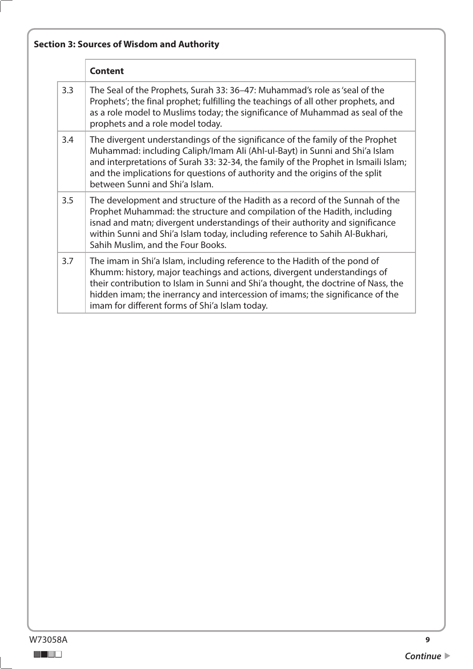| <b>Section 3: Sources of Wisdom and Authority</b> |  |  |  |  |  |  |  |
|---------------------------------------------------|--|--|--|--|--|--|--|
|---------------------------------------------------|--|--|--|--|--|--|--|

|     | <b>Content</b>                                                                                                                                                                                                                                                                                                                                                                |
|-----|-------------------------------------------------------------------------------------------------------------------------------------------------------------------------------------------------------------------------------------------------------------------------------------------------------------------------------------------------------------------------------|
| 3.3 | The Seal of the Prophets, Surah 33: 36–47: Muhammad's role as 'seal of the<br>Prophets'; the final prophet; fulfilling the teachings of all other prophets, and<br>as a role model to Muslims today; the significance of Muhammad as seal of the<br>prophets and a role model today.                                                                                          |
| 3.4 | The divergent understandings of the significance of the family of the Prophet<br>Muhammad: including Caliph/Imam Ali (Ahl-ul-Bayt) in Sunni and Shi'a Islam<br>and interpretations of Surah 33: 32-34, the family of the Prophet in Ismaili Islam;<br>and the implications for questions of authority and the origins of the split<br>between Sunni and Shi'a Islam.          |
| 3.5 | The development and structure of the Hadith as a record of the Sunnah of the<br>Prophet Muhammad: the structure and compilation of the Hadith, including<br>isnad and matn; divergent understandings of their authority and significance<br>within Sunni and Shi'a Islam today, including reference to Sahih Al-Bukhari,<br>Sahih Muslim, and the Four Books.                 |
| 3.7 | The imam in Shi'a Islam, including reference to the Hadith of the pond of<br>Khumm: history, major teachings and actions, divergent understandings of<br>their contribution to Islam in Sunni and Shi'a thought, the doctrine of Nass, the<br>hidden imam; the inerrancy and intercession of imams; the significance of the<br>imam for different forms of Shi'a Islam today. |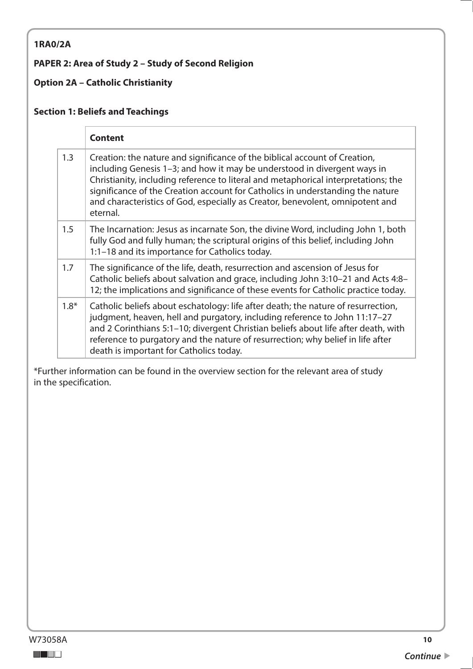#### <span id="page-9-0"></span>**1RA0/2A**

### **PAPER 2: Area of Study 2 – Study of Second Religion**

### **Option 2A – Catholic Christianity**

### **Section 1: Beliefs and Teachings**

|        | <b>Content</b>                                                                                                                                                                                                                                                                                                                                                                                                              |
|--------|-----------------------------------------------------------------------------------------------------------------------------------------------------------------------------------------------------------------------------------------------------------------------------------------------------------------------------------------------------------------------------------------------------------------------------|
| 1.3    | Creation: the nature and significance of the biblical account of Creation,<br>including Genesis 1-3; and how it may be understood in divergent ways in<br>Christianity, including reference to literal and metaphorical interpretations; the<br>significance of the Creation account for Catholics in understanding the nature<br>and characteristics of God, especially as Creator, benevolent, omnipotent and<br>eternal. |
| 1.5    | The Incarnation: Jesus as incarnate Son, the divine Word, including John 1, both<br>fully God and fully human; the scriptural origins of this belief, including John<br>1:1-18 and its importance for Catholics today.                                                                                                                                                                                                      |
| 1.7    | The significance of the life, death, resurrection and ascension of Jesus for<br>Catholic beliefs about salvation and grace, including John 3:10–21 and Acts 4:8–<br>12; the implications and significance of these events for Catholic practice today.                                                                                                                                                                      |
| $1.8*$ | Catholic beliefs about eschatology: life after death; the nature of resurrection,<br>judgment, heaven, hell and purgatory, including reference to John 11:17-27<br>and 2 Corinthians 5:1-10; divergent Christian beliefs about life after death, with<br>reference to purgatory and the nature of resurrection; why belief in life after<br>death is important for Catholics today.                                         |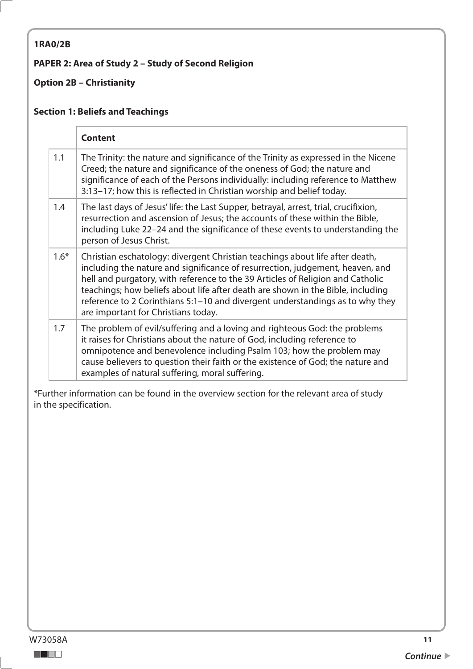#### <span id="page-10-0"></span>**1RA0/2B**

### **PAPER 2: Area of Study 2 – Study of Second Religion**

### **Option 2B – Christianity**

### **Section 1: Beliefs and Teachings**

|        | <b>Content</b>                                                                                                                                                                                                                                                                                                                                                                                                                                             |
|--------|------------------------------------------------------------------------------------------------------------------------------------------------------------------------------------------------------------------------------------------------------------------------------------------------------------------------------------------------------------------------------------------------------------------------------------------------------------|
| 1.1    | The Trinity: the nature and significance of the Trinity as expressed in the Nicene<br>Creed; the nature and significance of the oneness of God; the nature and<br>significance of each of the Persons individually: including reference to Matthew<br>3:13-17; how this is reflected in Christian worship and belief today.                                                                                                                                |
| 1.4    | The last days of Jesus' life: the Last Supper, betrayal, arrest, trial, crucifixion,<br>resurrection and ascension of Jesus; the accounts of these within the Bible,<br>including Luke 22-24 and the significance of these events to understanding the<br>person of Jesus Christ.                                                                                                                                                                          |
| $1.6*$ | Christian eschatology: divergent Christian teachings about life after death,<br>including the nature and significance of resurrection, judgement, heaven, and<br>hell and purgatory, with reference to the 39 Articles of Religion and Catholic<br>teachings; how beliefs about life after death are shown in the Bible, including<br>reference to 2 Corinthians 5:1-10 and divergent understandings as to why they<br>are important for Christians today. |
| 1.7    | The problem of evil/suffering and a loving and righteous God: the problems<br>it raises for Christians about the nature of God, including reference to<br>omnipotence and benevolence including Psalm 103; how the problem may<br>cause believers to question their faith or the existence of God; the nature and<br>examples of natural suffering, moral suffering.                                                                                       |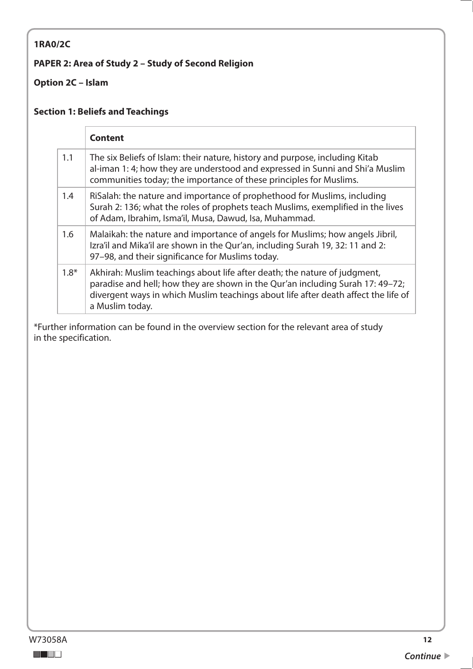### <span id="page-11-0"></span>**1RA0/2C**

### **PAPER 2: Area of Study 2 – Study of Second Religion**

### **Option 2C – Islam**

#### **Section 1: Beliefs and Teachings**

|        | <b>Content</b>                                                                                                                                                                                                                                                       |
|--------|----------------------------------------------------------------------------------------------------------------------------------------------------------------------------------------------------------------------------------------------------------------------|
| 1.1    | The six Beliefs of Islam: their nature, history and purpose, including Kitab<br>al-iman 1: 4; how they are understood and expressed in Sunni and Shi'a Muslim<br>communities today; the importance of these principles for Muslims.                                  |
| 1.4    | RiSalah: the nature and importance of prophethood for Muslims, including<br>Surah 2: 136; what the roles of prophets teach Muslims, exemplified in the lives<br>of Adam, Ibrahim, Isma'il, Musa, Dawud, Isa, Muhammad.                                               |
| 1.6    | Malaikah: the nature and importance of angels for Muslims; how angels Jibril,<br>Izra'il and Mika'il are shown in the Qur'an, including Surah 19, 32: 11 and 2:<br>97-98, and their significance for Muslims today.                                                  |
| $1.8*$ | Akhirah: Muslim teachings about life after death; the nature of judgment,<br>paradise and hell; how they are shown in the Qur'an including Surah 17: 49-72;<br>divergent ways in which Muslim teachings about life after death affect the life of<br>a Muslim today. |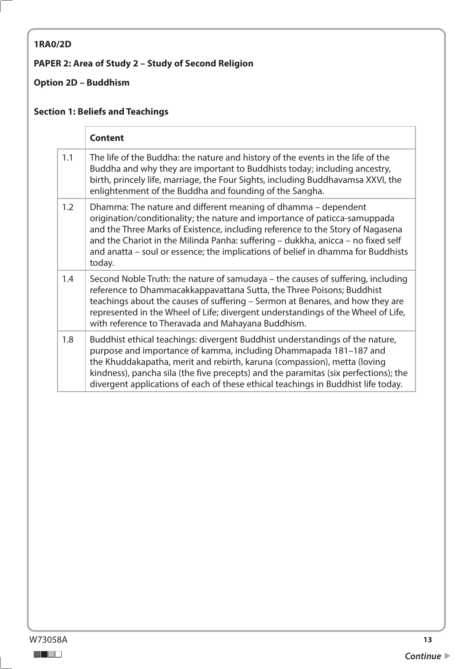# <span id="page-12-0"></span>**1RA0/2D**

### **PAPER 2: Area of Study 2 – Study of Second Religion**

### **Option 2D – Buddhism**

# **Section 1: Beliefs and Teachings**

|     | <b>Content</b>                                                                                                                                                                                                                                                                                                                                                                                                   |
|-----|------------------------------------------------------------------------------------------------------------------------------------------------------------------------------------------------------------------------------------------------------------------------------------------------------------------------------------------------------------------------------------------------------------------|
| 1.1 | The life of the Buddha: the nature and history of the events in the life of the<br>Buddha and why they are important to Buddhists today; including ancestry,<br>birth, princely life, marriage, the Four Sights, including Buddhavamsa XXVI, the<br>enlightenment of the Buddha and founding of the Sangha.                                                                                                      |
| 1.2 | Dhamma: The nature and different meaning of dhamma – dependent<br>origination/conditionality; the nature and importance of paticca-samuppada<br>and the Three Marks of Existence, including reference to the Story of Nagasena<br>and the Chariot in the Milinda Panha: suffering - dukkha, anicca - no fixed self<br>and anatta - soul or essence; the implications of belief in dhamma for Buddhists<br>today. |
| 1.4 | Second Noble Truth: the nature of samudaya – the causes of suffering, including<br>reference to Dhammacakkappavattana Sutta, the Three Poisons; Buddhist<br>teachings about the causes of suffering - Sermon at Benares, and how they are<br>represented in the Wheel of Life; divergent understandings of the Wheel of Life,<br>with reference to Theravada and Mahayana Buddhism.                              |
| 1.8 | Buddhist ethical teachings: divergent Buddhist understandings of the nature,<br>purpose and importance of kamma, including Dhammapada 181-187 and<br>the Khuddakapatha, merit and rebirth, karuna (compassion), metta (loving<br>kindness), pancha sila (the five precepts) and the paramitas (six perfections); the<br>divergent applications of each of these ethical teachings in Buddhist life today.        |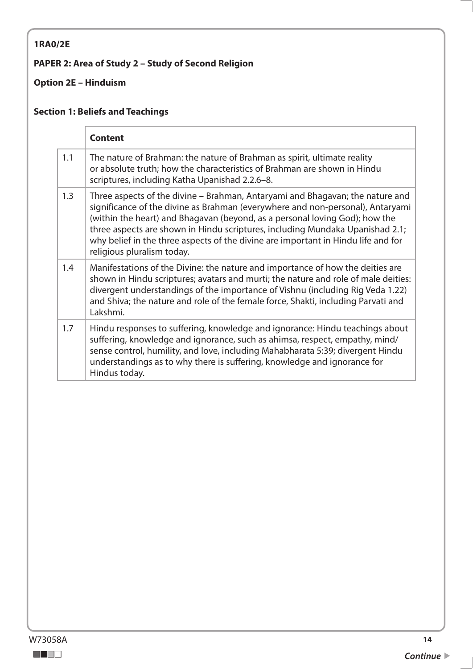### <span id="page-13-0"></span>**1RA0/2E**

### **PAPER 2: Area of Study 2 – Study of Second Religion**

### **Option 2E – Hinduism**

### **Section 1: Beliefs and Teachings**

|     | <b>Content</b>                                                                                                                                                                                                                                                                                                                                                                                                                                     |
|-----|----------------------------------------------------------------------------------------------------------------------------------------------------------------------------------------------------------------------------------------------------------------------------------------------------------------------------------------------------------------------------------------------------------------------------------------------------|
| 1.1 | The nature of Brahman: the nature of Brahman as spirit, ultimate reality<br>or absolute truth; how the characteristics of Brahman are shown in Hindu<br>scriptures, including Katha Upanishad 2.2.6-8.                                                                                                                                                                                                                                             |
| 1.3 | Three aspects of the divine – Brahman, Antaryami and Bhagavan; the nature and<br>significance of the divine as Brahman (everywhere and non-personal), Antaryami<br>(within the heart) and Bhagavan (beyond, as a personal loving God); how the<br>three aspects are shown in Hindu scriptures, including Mundaka Upanishad 2.1;<br>why belief in the three aspects of the divine are important in Hindu life and for<br>religious pluralism today. |
| 1.4 | Manifestations of the Divine: the nature and importance of how the deities are<br>shown in Hindu scriptures; avatars and murti; the nature and role of male deities:<br>divergent understandings of the importance of Vishnu (including Rig Veda 1.22)<br>and Shiva; the nature and role of the female force, Shakti, including Parvati and<br>Lakshmi.                                                                                            |
| 1.7 | Hindu responses to suffering, knowledge and ignorance: Hindu teachings about<br>suffering, knowledge and ignorance, such as ahimsa, respect, empathy, mind/<br>sense control, humility, and love, including Mahabharata 5:39; divergent Hindu<br>understandings as to why there is suffering, knowledge and ignorance for<br>Hindus today.                                                                                                         |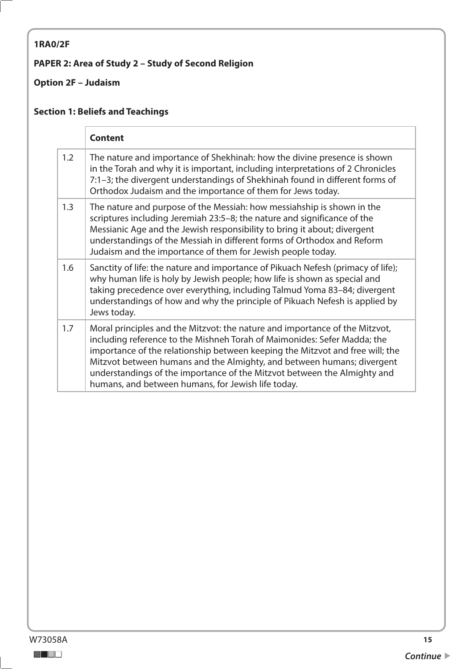# <span id="page-14-0"></span>**1RA0/2F**

### **PAPER 2: Area of Study 2 – Study of Second Religion**

### **Option 2F – Judaism**

# **Section 1: Beliefs and Teachings**

|     | <b>Content</b>                                                                                                                                                                                                                                                                                                                                                                                                                                       |
|-----|------------------------------------------------------------------------------------------------------------------------------------------------------------------------------------------------------------------------------------------------------------------------------------------------------------------------------------------------------------------------------------------------------------------------------------------------------|
| 1.2 | The nature and importance of Shekhinah: how the divine presence is shown<br>in the Torah and why it is important, including interpretations of 2 Chronicles<br>7:1-3; the divergent understandings of Shekhinah found in different forms of<br>Orthodox Judaism and the importance of them for Jews today.                                                                                                                                           |
| 1.3 | The nature and purpose of the Messiah: how messiahship is shown in the<br>scriptures including Jeremiah 23:5-8; the nature and significance of the<br>Messianic Age and the Jewish responsibility to bring it about; divergent<br>understandings of the Messiah in different forms of Orthodox and Reform<br>Judaism and the importance of them for Jewish people today.                                                                             |
| 1.6 | Sanctity of life: the nature and importance of Pikuach Nefesh (primacy of life);<br>why human life is holy by Jewish people; how life is shown as special and<br>taking precedence over everything, including Talmud Yoma 83-84; divergent<br>understandings of how and why the principle of Pikuach Nefesh is applied by<br>Jews today.                                                                                                             |
| 1.7 | Moral principles and the Mitzvot: the nature and importance of the Mitzvot,<br>including reference to the Mishneh Torah of Maimonides: Sefer Madda; the<br>importance of the relationship between keeping the Mitzvot and free will; the<br>Mitzvot between humans and the Almighty, and between humans; divergent<br>understandings of the importance of the Mitzvot between the Almighty and<br>humans, and between humans, for Jewish life today. |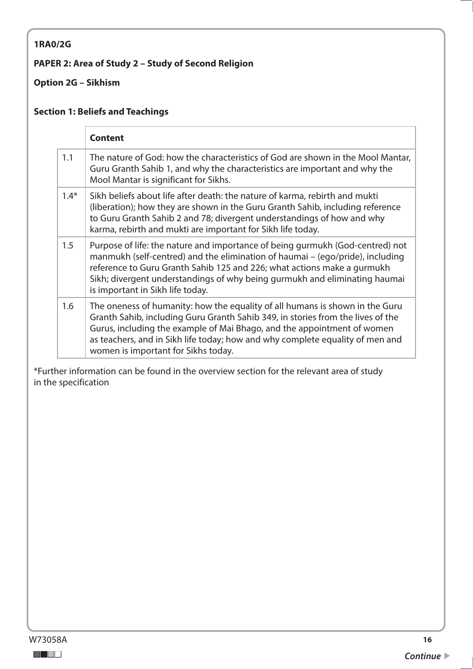### <span id="page-15-0"></span>**1RA0/2G**

### **PAPER 2: Area of Study 2 – Study of Second Religion**

### **Option 2G – Sikhism**

### **Section 1: Beliefs and Teachings**

|        | <b>Content</b>                                                                                                                                                                                                                                                                                                                                                     |
|--------|--------------------------------------------------------------------------------------------------------------------------------------------------------------------------------------------------------------------------------------------------------------------------------------------------------------------------------------------------------------------|
| 1.1    | The nature of God: how the characteristics of God are shown in the Mool Mantar,<br>Guru Granth Sahib 1, and why the characteristics are important and why the<br>Mool Mantar is significant for Sikhs.                                                                                                                                                             |
| $1.4*$ | Sikh beliefs about life after death: the nature of karma, rebirth and mukti<br>(liberation); how they are shown in the Guru Granth Sahib, including reference<br>to Guru Granth Sahib 2 and 78; divergent understandings of how and why<br>karma, rebirth and mukti are important for Sikh life today.                                                             |
| 1.5    | Purpose of life: the nature and importance of being gurmukh (God-centred) not<br>manmukh (self-centred) and the elimination of haumai – (ego/pride), including<br>reference to Guru Granth Sahib 125 and 226; what actions make a gurmukh<br>Sikh; divergent understandings of why being gurmukh and eliminating haumai<br>is important in Sikh life today.        |
| 1.6    | The oneness of humanity: how the equality of all humans is shown in the Guru<br>Granth Sahib, including Guru Granth Sahib 349, in stories from the lives of the<br>Gurus, including the example of Mai Bhago, and the appointment of women<br>as teachers, and in Sikh life today; how and why complete equality of men and<br>women is important for Sikhs today. |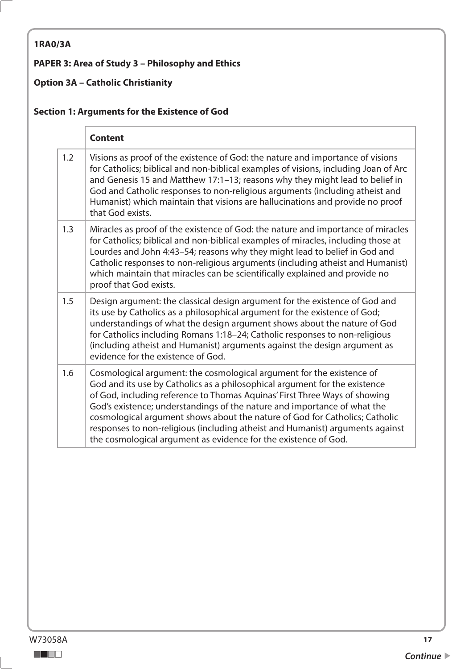## <span id="page-16-0"></span>**1RA0/3A**

### **PAPER 3: Area of Study 3 – Philosophy and Ethics**

## **Option 3A – Catholic Christianity**

### **Section 1: Arguments for the Existence of God**

|     | <b>Content</b>                                                                                                                                                                                                                                                                                                                                                                                                                                                                                                                                   |
|-----|--------------------------------------------------------------------------------------------------------------------------------------------------------------------------------------------------------------------------------------------------------------------------------------------------------------------------------------------------------------------------------------------------------------------------------------------------------------------------------------------------------------------------------------------------|
| 1.2 | Visions as proof of the existence of God: the nature and importance of visions<br>for Catholics; biblical and non-biblical examples of visions, including Joan of Arc<br>and Genesis 15 and Matthew 17:1-13; reasons why they might lead to belief in<br>God and Catholic responses to non-religious arguments (including atheist and<br>Humanist) which maintain that visions are hallucinations and provide no proof<br>that God exists.                                                                                                       |
| 1.3 | Miracles as proof of the existence of God: the nature and importance of miracles<br>for Catholics; biblical and non-biblical examples of miracles, including those at<br>Lourdes and John 4:43-54; reasons why they might lead to belief in God and<br>Catholic responses to non-religious arguments (including atheist and Humanist)<br>which maintain that miracles can be scientifically explained and provide no<br>proof that God exists.                                                                                                   |
| 1.5 | Design argument: the classical design argument for the existence of God and<br>its use by Catholics as a philosophical argument for the existence of God;<br>understandings of what the design argument shows about the nature of God<br>for Catholics including Romans 1:18-24; Catholic responses to non-religious<br>(including atheist and Humanist) arguments against the design argument as<br>evidence for the existence of God.                                                                                                          |
| 1.6 | Cosmological argument: the cosmological argument for the existence of<br>God and its use by Catholics as a philosophical argument for the existence<br>of God, including reference to Thomas Aquinas' First Three Ways of showing<br>God's existence; understandings of the nature and importance of what the<br>cosmological argument shows about the nature of God for Catholics; Catholic<br>responses to non-religious (including atheist and Humanist) arguments against<br>the cosmological argument as evidence for the existence of God. |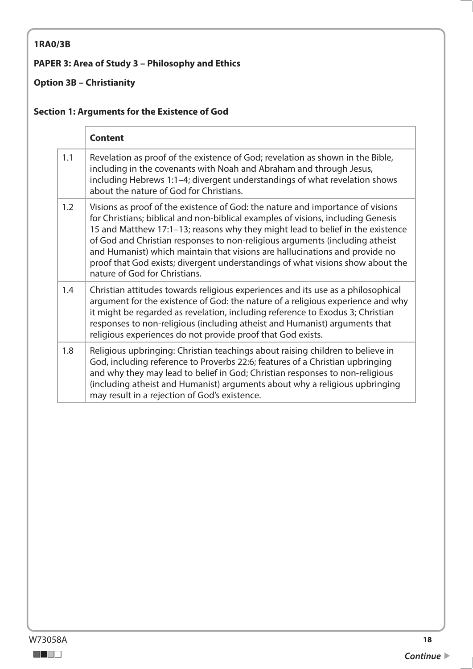### <span id="page-17-0"></span>**1RA0/3B**

### **PAPER 3: Area of Study 3 – Philosophy and Ethics**

### **Option 3B – Christianity**

### **Section 1: Arguments for the Existence of God**

|     | <b>Content</b>                                                                                                                                                                                                                                                                                                                                                                                                                                                                                                                         |
|-----|----------------------------------------------------------------------------------------------------------------------------------------------------------------------------------------------------------------------------------------------------------------------------------------------------------------------------------------------------------------------------------------------------------------------------------------------------------------------------------------------------------------------------------------|
| 1.1 | Revelation as proof of the existence of God; revelation as shown in the Bible,<br>including in the covenants with Noah and Abraham and through Jesus,<br>including Hebrews 1:1-4; divergent understandings of what revelation shows<br>about the nature of God for Christians.                                                                                                                                                                                                                                                         |
| 1.2 | Visions as proof of the existence of God: the nature and importance of visions<br>for Christians; biblical and non-biblical examples of visions, including Genesis<br>15 and Matthew 17:1-13; reasons why they might lead to belief in the existence<br>of God and Christian responses to non-religious arguments (including atheist<br>and Humanist) which maintain that visions are hallucinations and provide no<br>proof that God exists; divergent understandings of what visions show about the<br>nature of God for Christians. |
| 1.4 | Christian attitudes towards religious experiences and its use as a philosophical<br>argument for the existence of God: the nature of a religious experience and why<br>it might be regarded as revelation, including reference to Exodus 3; Christian<br>responses to non-religious (including atheist and Humanist) arguments that<br>religious experiences do not provide proof that God exists.                                                                                                                                     |
| 1.8 | Religious upbringing: Christian teachings about raising children to believe in<br>God, including reference to Proverbs 22:6; features of a Christian upbringing<br>and why they may lead to belief in God; Christian responses to non-religious<br>(including atheist and Humanist) arguments about why a religious upbringing<br>may result in a rejection of God's existence.                                                                                                                                                        |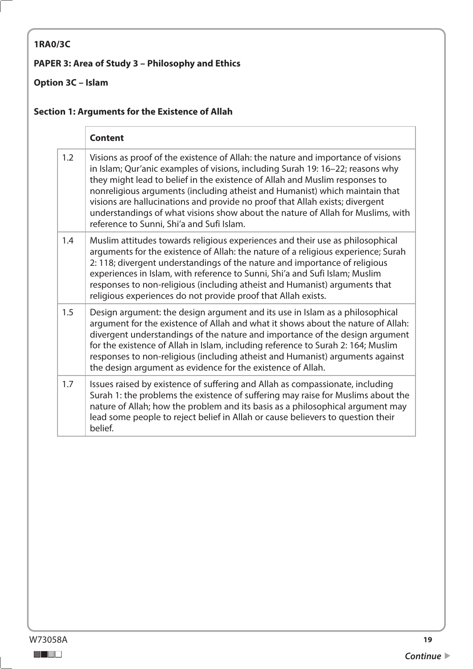## <span id="page-18-0"></span>**1RA0/3C**

### **PAPER 3: Area of Study 3 – Philosophy and Ethics**

## **Option 3C – Islam**

### **Section 1: Arguments for the Existence of Allah**

|     | <b>Content</b>                                                                                                                                                                                                                                                                                                                                                                                                                                                                                                                                   |
|-----|--------------------------------------------------------------------------------------------------------------------------------------------------------------------------------------------------------------------------------------------------------------------------------------------------------------------------------------------------------------------------------------------------------------------------------------------------------------------------------------------------------------------------------------------------|
| 1.2 | Visions as proof of the existence of Allah: the nature and importance of visions<br>in Islam; Qur'anic examples of visions, including Surah 19: 16-22; reasons why<br>they might lead to belief in the existence of Allah and Muslim responses to<br>nonreligious arguments (including atheist and Humanist) which maintain that<br>visions are hallucinations and provide no proof that Allah exists; divergent<br>understandings of what visions show about the nature of Allah for Muslims, with<br>reference to Sunni, Shi'a and Sufi Islam. |
| 1.4 | Muslim attitudes towards religious experiences and their use as philosophical<br>arguments for the existence of Allah: the nature of a religious experience; Surah<br>2: 118; divergent understandings of the nature and importance of religious<br>experiences in Islam, with reference to Sunni, Shi'a and Sufi Islam; Muslim<br>responses to non-religious (including atheist and Humanist) arguments that<br>religious experiences do not provide proof that Allah exists.                                                                   |
| 1.5 | Design argument: the design argument and its use in Islam as a philosophical<br>argument for the existence of Allah and what it shows about the nature of Allah:<br>divergent understandings of the nature and importance of the design argument<br>for the existence of Allah in Islam, including reference to Surah 2: 164; Muslim<br>responses to non-religious (including atheist and Humanist) arguments against<br>the design argument as evidence for the existence of Allah.                                                             |
| 1.7 | Issues raised by existence of suffering and Allah as compassionate, including<br>Surah 1: the problems the existence of suffering may raise for Muslims about the<br>nature of Allah; how the problem and its basis as a philosophical argument may<br>lead some people to reject belief in Allah or cause believers to question their<br>belief.                                                                                                                                                                                                |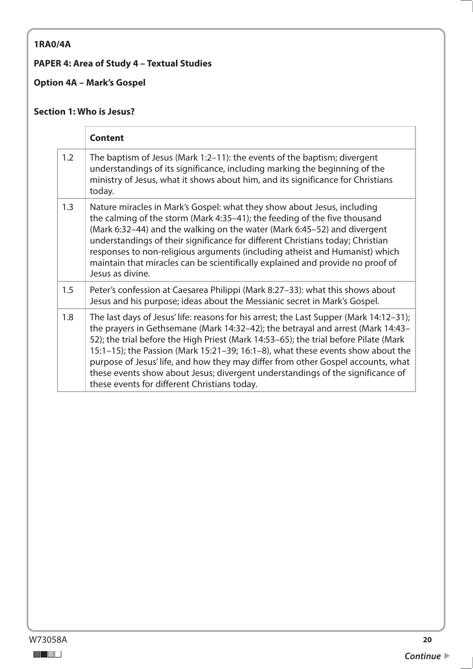### <span id="page-19-0"></span>**1RA0/4A**

### **PAPER 4: Area of Study 4 – Textual Studies**

**Option 4A – Mark's Gospel** 

#### **Section 1: Who is Jesus?**

|     | <b>Content</b>                                                                                                                                                                                                                                                                                                                                                                                                                                                                                                                                                             |
|-----|----------------------------------------------------------------------------------------------------------------------------------------------------------------------------------------------------------------------------------------------------------------------------------------------------------------------------------------------------------------------------------------------------------------------------------------------------------------------------------------------------------------------------------------------------------------------------|
| 1.2 | The baptism of Jesus (Mark 1:2-11): the events of the baptism; divergent<br>understandings of its significance, including marking the beginning of the<br>ministry of Jesus, what it shows about him, and its significance for Christians<br>today.                                                                                                                                                                                                                                                                                                                        |
| 1.3 | Nature miracles in Mark's Gospel: what they show about Jesus, including<br>the calming of the storm (Mark 4:35–41); the feeding of the five thousand<br>(Mark 6:32-44) and the walking on the water (Mark 6:45-52) and divergent<br>understandings of their significance for different Christians today; Christian<br>responses to non-religious arguments (including atheist and Humanist) which<br>maintain that miracles can be scientifically explained and provide no proof of<br>Jesus as divine.                                                                    |
| 1.5 | Peter's confession at Caesarea Philippi (Mark 8:27-33): what this shows about<br>Jesus and his purpose; ideas about the Messianic secret in Mark's Gospel.                                                                                                                                                                                                                                                                                                                                                                                                                 |
| 1.8 | The last days of Jesus' life: reasons for his arrest; the Last Supper (Mark 14:12-31);<br>the prayers in Gethsemane (Mark 14:32-42); the betrayal and arrest (Mark 14:43-<br>52); the trial before the High Priest (Mark 14:53-65); the trial before Pilate (Mark<br>15:1-15); the Passion (Mark 15:21-39; 16:1-8), what these events show about the<br>purpose of Jesus' life, and how they may differ from other Gospel accounts, what<br>these events show about Jesus; divergent understandings of the significance of<br>these events for different Christians today. |